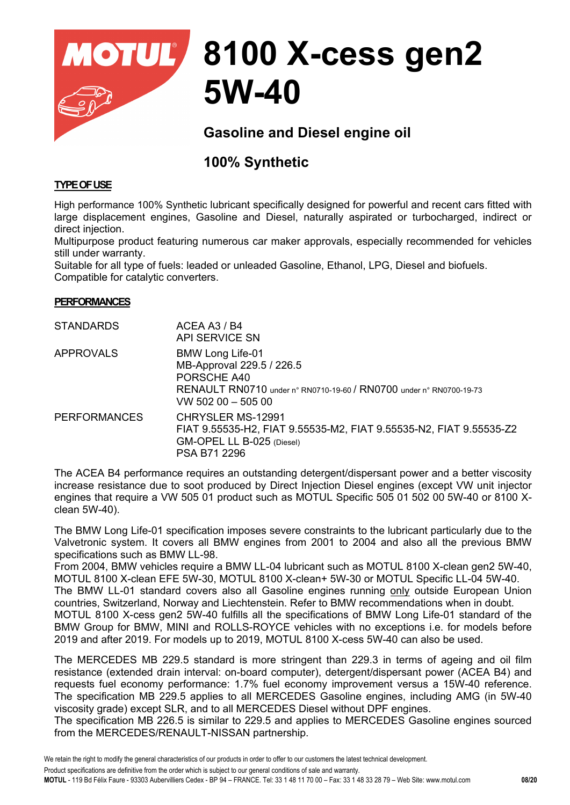

# **8100 X-cess gen2 5W-40**

# **Gasoline and Diesel engine oil**

# **100% Synthetic**

## **TYPE OF USE**

High performance 100% Synthetic lubricant specifically designed for powerful and recent cars fitted with large displacement engines, Gasoline and Diesel, naturally aspirated or turbocharged, indirect or direct injection.

Multipurpose product featuring numerous car maker approvals, especially recommended for vehicles still under warranty.

Suitable for all type of fuels: leaded or unleaded Gasoline, Ethanol, LPG, Diesel and biofuels. Compatible for catalytic converters.

## **PERFORMANCES**

| <b>STANDARDS</b>    | ACEA A3 / B4<br>API SERVICE SN                                                                                                                                       |
|---------------------|----------------------------------------------------------------------------------------------------------------------------------------------------------------------|
| <b>APPROVALS</b>    | <b>BMW Long Life-01</b><br>MB-Approval 229.5 / 226.5<br>PORSCHE A40<br>RENAULT RN0710 under n° RN0710-19-60 / RN0700 under n° RN0700-19-73<br>$vw$ 502 00 $-$ 505 00 |
| <b>PERFORMANCES</b> | CHRYSLER MS-12991<br>FIAT 9.55535-H2, FIAT 9.55535-M2, FIAT 9.55535-N2, FIAT 9.55535-Z2<br>GM-OPEL LL B-025 (Diesel)<br>PSA B71 2296                                 |

The ACEA B4 performance requires an outstanding detergent/dispersant power and a better viscosity increase resistance due to soot produced by Direct Injection Diesel engines (except VW unit injector engines that require a VW 505 01 product such as MOTUL Specific 505 01 502 00 5W-40 or 8100 Xclean 5W-40).

The BMW Long Life-01 specification imposes severe constraints to the lubricant particularly due to the Valvetronic system. It covers all BMW engines from 2001 to 2004 and also all the previous BMW specifications such as BMW LL-98.

From 2004, BMW vehicles require a BMW LL-04 lubricant such as MOTUL 8100 X-clean gen2 5W-40, MOTUL 8100 X-clean EFE 5W-30, MOTUL 8100 X-clean+ 5W-30 or MOTUL Specific LL-04 5W-40. The BMW LL-01 standard covers also all Gasoline engines running only outside European Union countries, Switzerland, Norway and Liechtenstein. Refer to BMW recommendations when in doubt. MOTUL 8100 X-cess gen2 5W-40 fulfills all the specifications of BMW Long Life-01 standard of the BMW Group for BMW, MINI and ROLLS-ROYCE vehicles with no exceptions i.e. for models before 2019 and after 2019. For models up to 2019, MOTUL 8100 X-cess 5W-40 can also be used.

The MERCEDES MB 229.5 standard is more stringent than 229.3 in terms of ageing and oil film resistance (extended drain interval: on-board computer), detergent/dispersant power (ACEA B4) and requests fuel economy performance: 1.7% fuel economy improvement versus a 15W-40 reference. The specification MB 229.5 applies to all MERCEDES Gasoline engines, including AMG (in 5W-40 viscosity grade) except SLR, and to all MERCEDES Diesel without DPF engines.

The specification MB 226.5 is similar to 229.5 and applies to MERCEDES Gasoline engines sourced from the MERCEDES/RENAULT-NISSAN partnership.